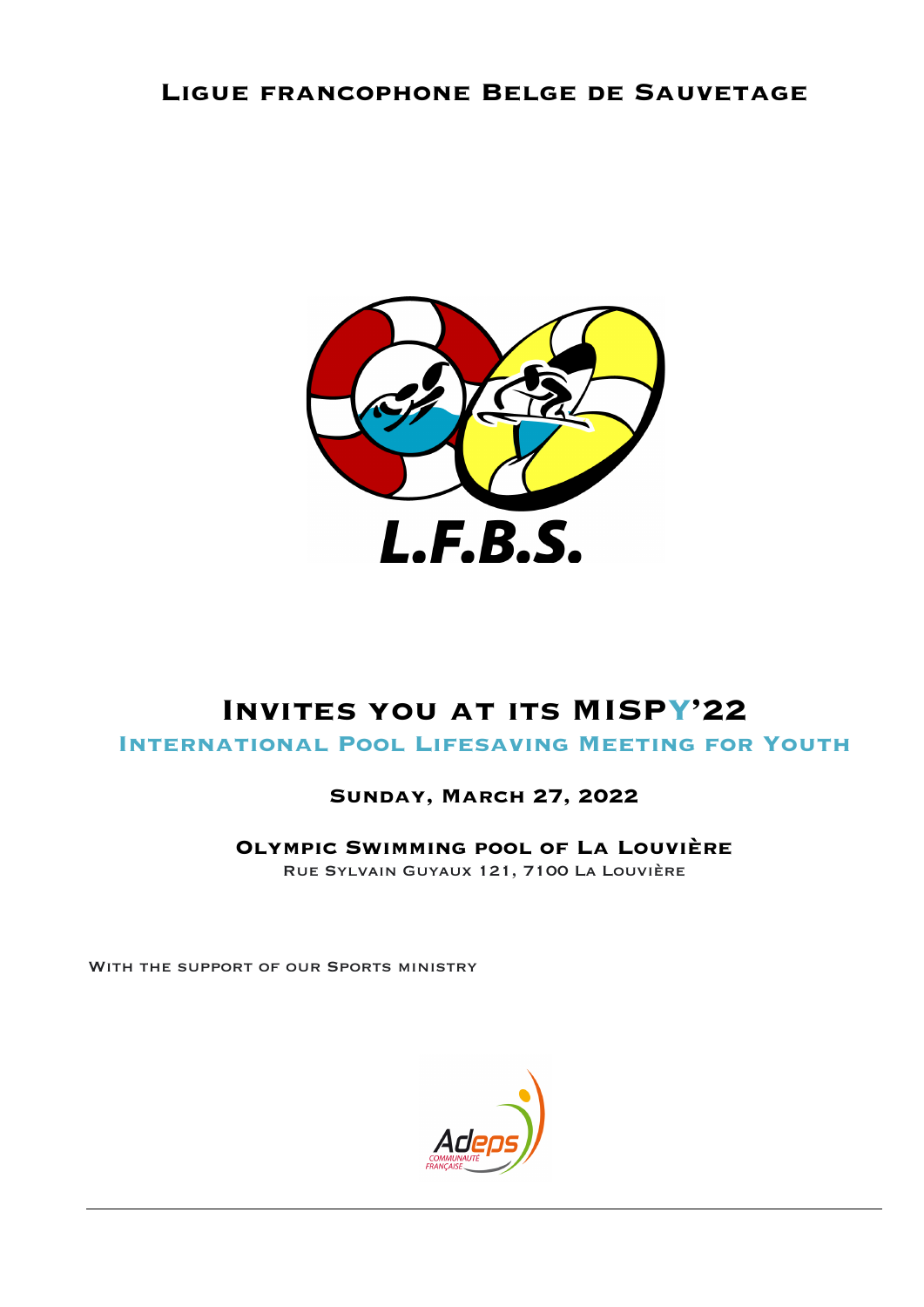# **Ligue francophone Belge de Sauvetage**



# **Invites you at its MISPY'22**

**International Pool Lifesaving Meeting for Youth**

# **Sunday, March 27, 2022**

**Olympic Swimming pool of La Louvière** Rue Sylvain Guyaux 121, 7100 La Louvière

WITH THE SUPPORT OF OUR SPORTS MINISTRY

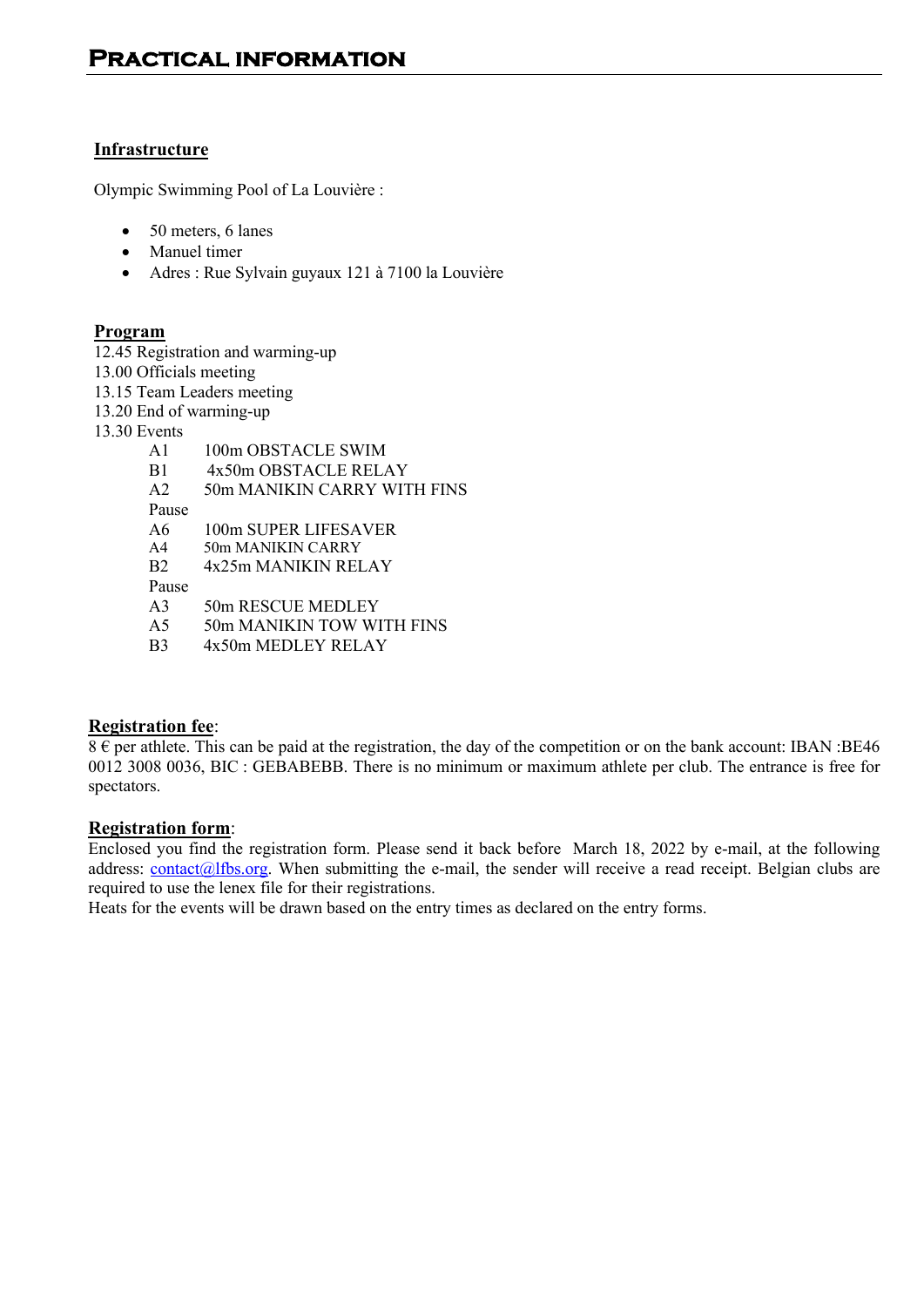# **Infrastructure**

Olympic Swimming Pool of La Louvière :

- 50 meters, 6 lanes
- Manuel timer
- Adres : Rue Sylvain guyaux 121 à 7100 la Louvière

#### **Program**

12.45 Registration and warming-up

13.00 Officials meeting

- 13.15 Team Leaders meeting
- 13.20 End of warming-up

13.30 Events

| $\mathsf{A}1$  | 100m OBSTACLE SWIM          |
|----------------|-----------------------------|
| B1             | 4x50m OBSTACLE RELAY        |
| A <sub>2</sub> | 50m MANIKIN CARRY WITH FINS |
| Pause          |                             |
| A6             | 100m SUPER LIFESAVER        |
| A <sub>4</sub> | 50m MANIKIN CARRY           |
| B <sub>2</sub> | 4x25m MANIKIN RELAY         |
| Pause          |                             |
| A <sup>3</sup> | 50m RESCUE MEDLEY           |
| A 5            | 50m MANIKIN TOW WITH FINS   |
|                |                             |

B3 4x50m MEDLEY RELAY

#### **Registration fee**:

 $8 \epsilon$  per athlete. This can be paid at the registration, the day of the competition or on the bank account: IBAN :BE46 0012 3008 0036, BIC : GEBABEBB. There is no minimum or maximum athlete per club. The entrance is free for spectators.

#### **Registration form**:

Enclosed you find the registration form. Please send it back before March 18, 2022 by e-mail, at the following address: contact@lfbs.org. When submitting the e-mail, the sender will receive a read receipt. Belgian clubs are required to use the lenex file for their registrations.

Heats for the events will be drawn based on the entry times as declared on the entry forms.